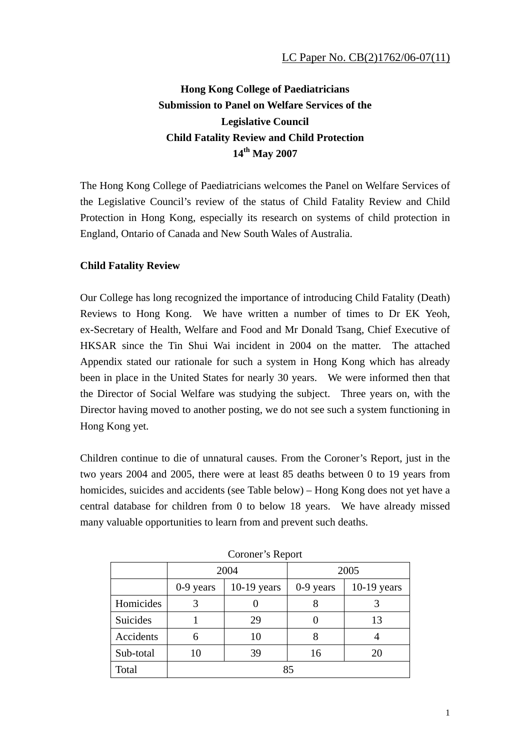# **Hong Kong College of Paediatricians Submission to Panel on Welfare Services of the Legislative Council Child Fatality Review and Child Protection 14th May 2007**

The Hong Kong College of Paediatricians welcomes the Panel on Welfare Services of the Legislative Council's review of the status of Child Fatality Review and Child Protection in Hong Kong, especially its research on systems of child protection in England, Ontario of Canada and New South Wales of Australia.

## **Child Fatality Review**

Our College has long recognized the importance of introducing Child Fatality (Death) Reviews to Hong Kong. We have written a number of times to Dr EK Yeoh, ex-Secretary of Health, Welfare and Food and Mr Donald Tsang, Chief Executive of HKSAR since the Tin Shui Wai incident in 2004 on the matter. The attached Appendix stated our rationale for such a system in Hong Kong which has already been in place in the United States for nearly 30 years. We were informed then that the Director of Social Welfare was studying the subject. Three years on, with the Director having moved to another posting, we do not see such a system functioning in Hong Kong yet.

Children continue to die of unnatural causes. From the Coroner's Report, just in the two years 2004 and 2005, there were at least 85 deaths between 0 to 19 years from homicides, suicides and accidents (see Table below) – Hong Kong does not yet have a central database for children from 0 to below 18 years. We have already missed many valuable opportunities to learn from and prevent such deaths.

| COLORED BILLPOLE |             |               |             |               |
|------------------|-------------|---------------|-------------|---------------|
|                  | 2004        |               | 2005        |               |
|                  | $0-9$ years | $10-19$ years | $0-9$ years | $10-19$ years |
| Homicides        |             |               |             |               |
| Suicides         |             | 29            |             | 13            |
| Accidents        | 6           | 10            |             |               |
| Sub-total        | 10          | 39            | 16          | 20            |
| Total            | 85          |               |             |               |

Coroner's Report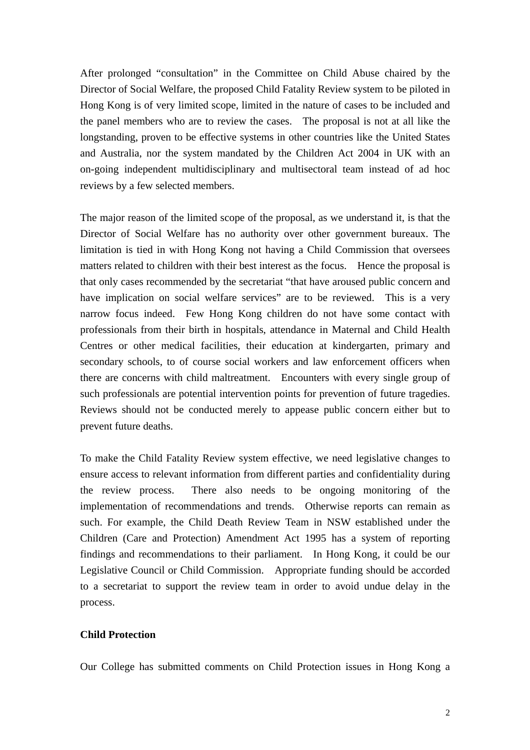After prolonged "consultation" in the Committee on Child Abuse chaired by the Director of Social Welfare, the proposed Child Fatality Review system to be piloted in Hong Kong is of very limited scope, limited in the nature of cases to be included and the panel members who are to review the cases. The proposal is not at all like the longstanding, proven to be effective systems in other countries like the United States and Australia, nor the system mandated by the Children Act 2004 in UK with an on-going independent multidisciplinary and multisectoral team instead of ad hoc reviews by a few selected members.

The major reason of the limited scope of the proposal, as we understand it, is that the Director of Social Welfare has no authority over other government bureaux. The limitation is tied in with Hong Kong not having a Child Commission that oversees matters related to children with their best interest as the focus. Hence the proposal is that only cases recommended by the secretariat "that have aroused public concern and have implication on social welfare services" are to be reviewed. This is a very narrow focus indeed. Few Hong Kong children do not have some contact with professionals from their birth in hospitals, attendance in Maternal and Child Health Centres or other medical facilities, their education at kindergarten, primary and secondary schools, to of course social workers and law enforcement officers when there are concerns with child maltreatment. Encounters with every single group of such professionals are potential intervention points for prevention of future tragedies. Reviews should not be conducted merely to appease public concern either but to prevent future deaths.

To make the Child Fatality Review system effective, we need legislative changes to ensure access to relevant information from different parties and confidentiality during the review process. There also needs to be ongoing monitoring of the implementation of recommendations and trends. Otherwise reports can remain as such. For example, the Child Death Review Team in NSW established under the Children (Care and Protection) Amendment Act 1995 has a system of reporting findings and recommendations to their parliament. In Hong Kong, it could be our Legislative Council or Child Commission. Appropriate funding should be accorded to a secretariat to support the review team in order to avoid undue delay in the process.

## **Child Protection**

Our College has submitted comments on Child Protection issues in Hong Kong a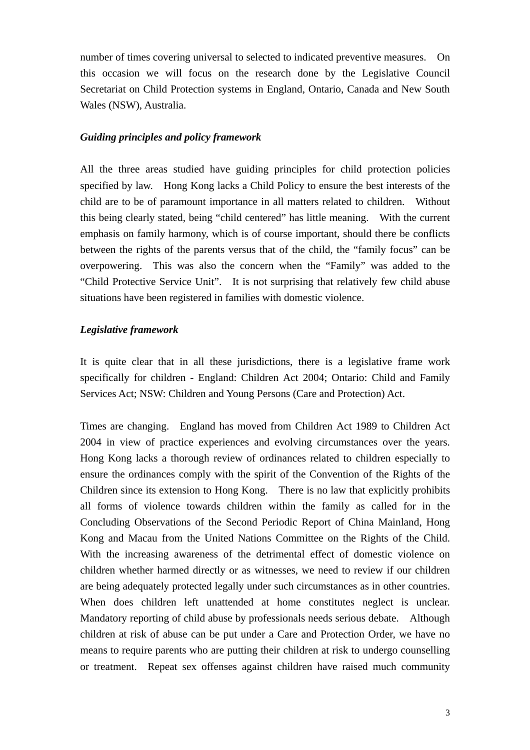number of times covering universal to selected to indicated preventive measures. On this occasion we will focus on the research done by the Legislative Council Secretariat on Child Protection systems in England, Ontario, Canada and New South Wales (NSW), Australia.

#### *Guiding principles and policy framework*

All the three areas studied have guiding principles for child protection policies specified by law. Hong Kong lacks a Child Policy to ensure the best interests of the child are to be of paramount importance in all matters related to children. Without this being clearly stated, being "child centered" has little meaning. With the current emphasis on family harmony, which is of course important, should there be conflicts between the rights of the parents versus that of the child, the "family focus" can be overpowering. This was also the concern when the "Family" was added to the "Child Protective Service Unit". It is not surprising that relatively few child abuse situations have been registered in families with domestic violence.

#### *Legislative framework*

It is quite clear that in all these jurisdictions, there is a legislative frame work specifically for children - England: Children Act 2004; Ontario: Child and Family Services Act; NSW: Children and Young Persons (Care and Protection) Act.

Times are changing. England has moved from Children Act 1989 to Children Act 2004 in view of practice experiences and evolving circumstances over the years. Hong Kong lacks a thorough review of ordinances related to children especially to ensure the ordinances comply with the spirit of the Convention of the Rights of the Children since its extension to Hong Kong. There is no law that explicitly prohibits all forms of violence towards children within the family as called for in the Concluding Observations of the Second Periodic Report of China Mainland, Hong Kong and Macau from the United Nations Committee on the Rights of the Child. With the increasing awareness of the detrimental effect of domestic violence on children whether harmed directly or as witnesses, we need to review if our children are being adequately protected legally under such circumstances as in other countries. When does children left unattended at home constitutes neglect is unclear. Mandatory reporting of child abuse by professionals needs serious debate. Although children at risk of abuse can be put under a Care and Protection Order, we have no means to require parents who are putting their children at risk to undergo counselling or treatment. Repeat sex offenses against children have raised much community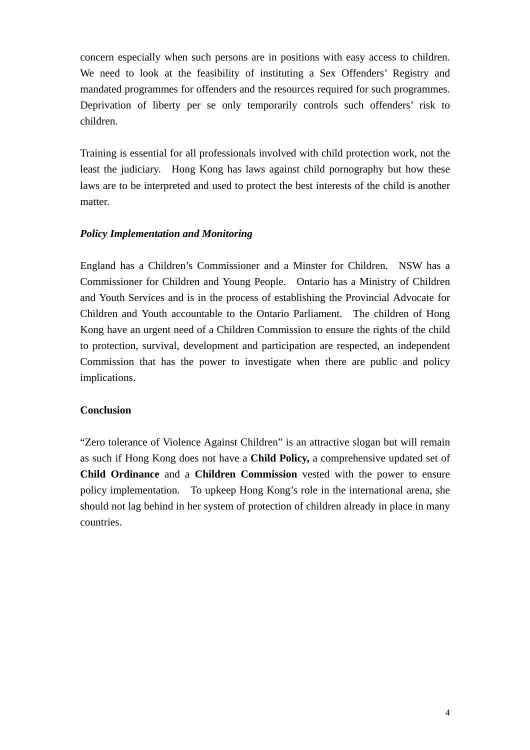concern especially when such persons are in positions with easy access to children. We need to look at the feasibility of instituting a Sex Offenders' Registry and mandated programmes for offenders and the resources required for such programmes. Deprivation of liberty per se only temporarily controls such offenders' risk to children.

Training is essential for all professionals involved with child protection work, not the least the judiciary. Hong Kong has laws against child pornography but how these laws are to be interpreted and used to protect the best interests of the child is another matter.

### *Policy Implementation and Monitoring*

England has a Children's Commissioner and a Minster for Children. NSW has a Commissioner for Children and Young People. Ontario has a Ministry of Children and Youth Services and is in the process of establishing the Provincial Advocate for Children and Youth accountable to the Ontario Parliament. The children of Hong Kong have an urgent need of a Children Commission to ensure the rights of the child to protection, survival, development and participation are respected, an independent Commission that has the power to investigate when there are public and policy implications.

#### **Conclusion**

"Zero tolerance of Violence Against Children" is an attractive slogan but will remain as such if Hong Kong does not have a **Child Policy,** a comprehensive updated set of **Child Ordinance** and a **Children Commission** vested with the power to ensure policy implementation. To upkeep Hong Kong's role in the international arena, she should not lag behind in her system of protection of children already in place in many countries.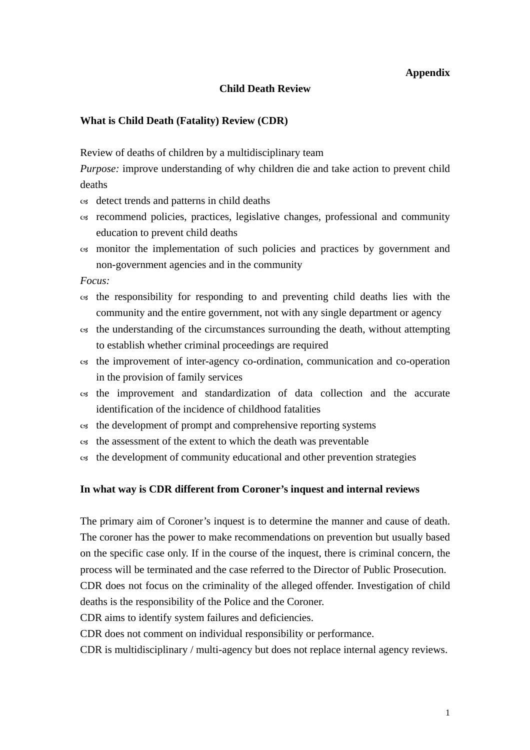### **Appendix**

#### **Child Death Review**

#### **What is Child Death (Fatality) Review (CDR)**

Review of deaths of children by a multidisciplinary team

*Purpose:* improve understanding of why children die and take action to prevent child deaths

- $\infty$  detect trends and patterns in child deaths
- $\infty$  recommend policies, practices, legislative changes, professional and community education to prevent child deaths
- $\infty$  monitor the implementation of such policies and practices by government and non-government agencies and in the community

*Focus:* 

- $\infty$  the responsibility for responding to and preventing child deaths lies with the community and the entire government, not with any single department or agency
- $\alpha$  the understanding of the circumstances surrounding the death, without attempting to establish whether criminal proceedings are required
- $\infty$  the improvement of inter-agency co-ordination, communication and co-operation in the provision of family services
- $\alpha$  the improvement and standardization of data collection and the accurate identification of the incidence of childhood fatalities
- $\infty$  the development of prompt and comprehensive reporting systems
- $\infty$  the assessment of the extent to which the death was preventable
- $\infty$  the development of community educational and other prevention strategies

#### **In what way is CDR different from Coroner's inquest and internal reviews**

The primary aim of Coroner's inquest is to determine the manner and cause of death. The coroner has the power to make recommendations on prevention but usually based on the specific case only. If in the course of the inquest, there is criminal concern, the process will be terminated and the case referred to the Director of Public Prosecution. CDR does not focus on the criminality of the alleged offender. Investigation of child deaths is the responsibility of the Police and the Coroner.

CDR aims to identify system failures and deficiencies.

CDR does not comment on individual responsibility or performance.

CDR is multidisciplinary / multi-agency but does not replace internal agency reviews.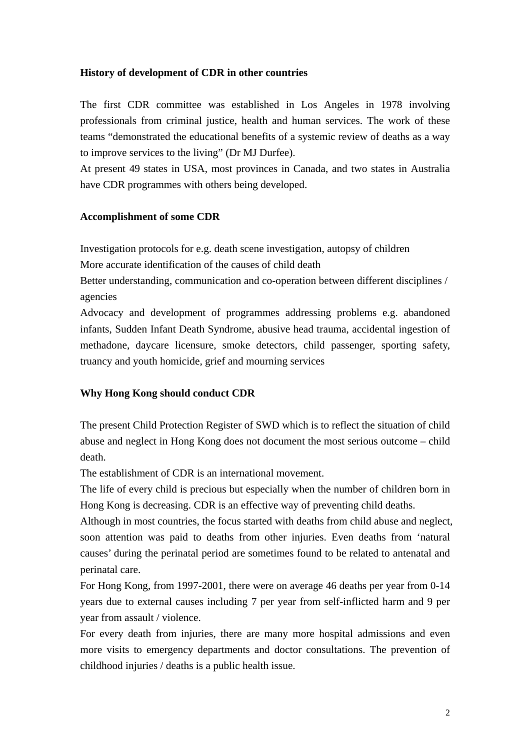## **History of development of CDR in other countries**

The first CDR committee was established in Los Angeles in 1978 involving professionals from criminal justice, health and human services. The work of these teams "demonstrated the educational benefits of a systemic review of deaths as a way to improve services to the living" (Dr MJ Durfee).

At present 49 states in USA, most provinces in Canada, and two states in Australia have CDR programmes with others being developed.

### **Accomplishment of some CDR**

Investigation protocols for e.g. death scene investigation, autopsy of children

More accurate identification of the causes of child death

Better understanding, communication and co-operation between different disciplines / agencies

Advocacy and development of programmes addressing problems e.g. abandoned infants, Sudden Infant Death Syndrome, abusive head trauma, accidental ingestion of methadone, daycare licensure, smoke detectors, child passenger, sporting safety, truancy and youth homicide, grief and mourning services

## **Why Hong Kong should conduct CDR**

The present Child Protection Register of SWD which is to reflect the situation of child abuse and neglect in Hong Kong does not document the most serious outcome – child death.

The establishment of CDR is an international movement.

The life of every child is precious but especially when the number of children born in Hong Kong is decreasing. CDR is an effective way of preventing child deaths.

Although in most countries, the focus started with deaths from child abuse and neglect, soon attention was paid to deaths from other injuries. Even deaths from 'natural causes' during the perinatal period are sometimes found to be related to antenatal and perinatal care.

For Hong Kong, from 1997-2001, there were on average 46 deaths per year from 0-14 years due to external causes including 7 per year from self-inflicted harm and 9 per year from assault / violence.

For every death from injuries, there are many more hospital admissions and even more visits to emergency departments and doctor consultations. The prevention of childhood injuries / deaths is a public health issue.